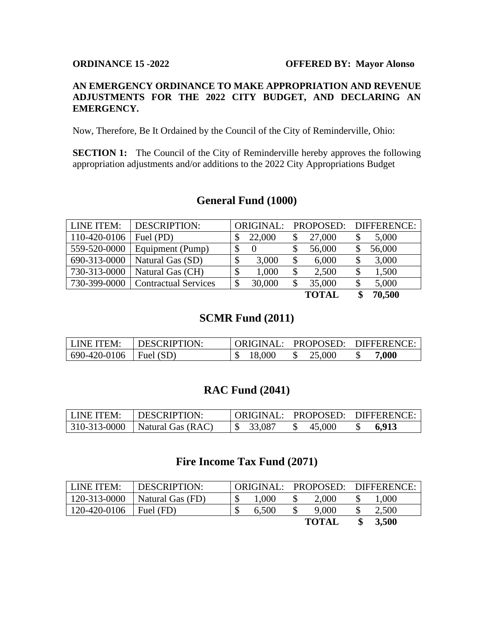#### **ORDINANCE 15 -2022 OFFERED BY: Mayor Alonso**

#### **AN EMERGENCY ORDINANCE TO MAKE APPROPRIATION AND REVENUE ADJUSTMENTS FOR THE 2022 CITY BUDGET, AND DECLARING AN EMERGENCY.**

Now, Therefore, Be It Ordained by the Council of the City of Reminderville, Ohio:

**SECTION 1:** The Council of the City of Reminderville hereby approves the following appropriation adjustments and/or additions to the 2022 City Appropriations Budget

# **General Fund (1000)**

| LINE ITEM:   | <b>DESCRIPTION:</b>         |    |        | ORIGINAL: PROPOSED: DIFFERENCE: |        |        |
|--------------|-----------------------------|----|--------|---------------------------------|--------|--------|
| 110-420-0106 | Fuel (PD)                   |    | 22,000 |                                 | 27,000 | 5,000  |
| 559-520-0000 | Equipment (Pump)            | D  |        |                                 | 56,000 | 56,000 |
| 690-313-0000 | Natural Gas (SD)            | \$ | 3,000  | \$                              | 6,000  | 3,000  |
| 730-313-0000 | Natural Gas (CH)            | \$ | 1,000  | \$                              | 2,500  | 1,500  |
| 730-399-0000 | <b>Contractual Services</b> | \$ | 30,000 | \$                              | 35,000 | 5,000  |
|              |                             |    |        |                                 | TOTAI  | 70.500 |

**TOTAL \$ 70,500**

# **SCMR Fund (2011)**

| LINE ITEM:   | DESCRIPTION:      |        |        | ORIGINAL: PROPOSED: DIFFERENCE: |
|--------------|-------------------|--------|--------|---------------------------------|
| 690-420-0106 | $\vert$ Fuel (SD) | 18,000 | 25,000 | 000.                            |

#### **RAC Fund (2041)**

| LLINE ITEM: | DESCRIPTION:                       |        |        | ORIGINAL: PROPOSED: DIFFERENCE: |
|-------------|------------------------------------|--------|--------|---------------------------------|
|             | $ 310-313-0000 $ Natural Gas (RAC) | 33,087 | 45,000 | 6,913                           |

#### **Fire Income Tax Fund (2071)**

| <b>LINE ITEM:</b> | DESCRIPTION:     | ORIGINAL: PROPOSED: DIFFERENCE: |       |  |              |       |
|-------------------|------------------|---------------------------------|-------|--|--------------|-------|
| 120-313-0000      | Natural Gas (FD) | J                               | 1,000 |  | 2,000        | 1.000 |
| 120-420-0106      | Fuel (FD)        | ◡                               | 6.500 |  | 9,000        | 2,500 |
|                   |                  |                                 |       |  | <b>TOTAL</b> | 3,500 |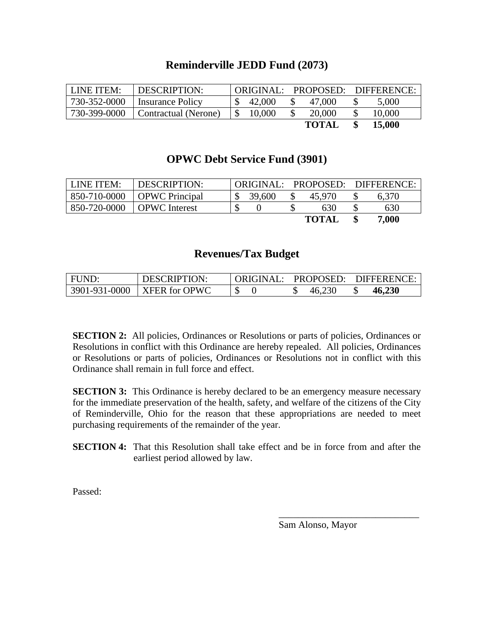### **Reminderville JEDD Fund (2073)**

| LINE ITEM:   | DESCRIPTION:         |        |              | ORIGINAL: PROPOSED: DIFFERENCE: |
|--------------|----------------------|--------|--------------|---------------------------------|
| 730-352-0000 | Insurance Policy     | 42,000 | 47,000       | 5,000                           |
| 730-399-0000 | Contractual (Nerone) | 10,000 | 20,000       | 10,000                          |
|              |                      |        | <b>TOTAL</b> | 15,000                          |

### **OPWC Debt Service Fund (3901)**

| LINE ITEM:   | <b>DESCRIPTION:</b>   | ORIGINAL: | PROPOSED:    | DIFFERENCE: |
|--------------|-----------------------|-----------|--------------|-------------|
| 850-710-0000 | <b>OPWC</b> Principal | 39,600    | 45.970       | 6,370       |
| 850-720-0000 | <b>OPWC</b> Interest  |           | 630          | 630         |
|              |                       |           | <b>TOTAL</b> | 7,000       |

#### **Revenues/Tax Budget**

| FUND: | DESCRIPTION:                              |        | ORIGINAL: PROPOSED: DIFFERENCE: |
|-------|-------------------------------------------|--------|---------------------------------|
|       | $\mid$ 3901-931-0000 $\mid$ XFER for OPWC | 46,230 | 46,230                          |

**SECTION 2:** All policies, Ordinances or Resolutions or parts of policies, Ordinances or Resolutions in conflict with this Ordinance are hereby repealed. All policies, Ordinances or Resolutions or parts of policies, Ordinances or Resolutions not in conflict with this Ordinance shall remain in full force and effect.

**SECTION 3:** This Ordinance is hereby declared to be an emergency measure necessary for the immediate preservation of the health, safety, and welfare of the citizens of the City of Reminderville, Ohio for the reason that these appropriations are needed to meet purchasing requirements of the remainder of the year.

**SECTION 4:** That this Resolution shall take effect and be in force from and after the earliest period allowed by law.

Passed:

Sam Alonso, Mayor

\_\_\_\_\_\_\_\_\_\_\_\_\_\_\_\_\_\_\_\_\_\_\_\_\_\_\_\_\_